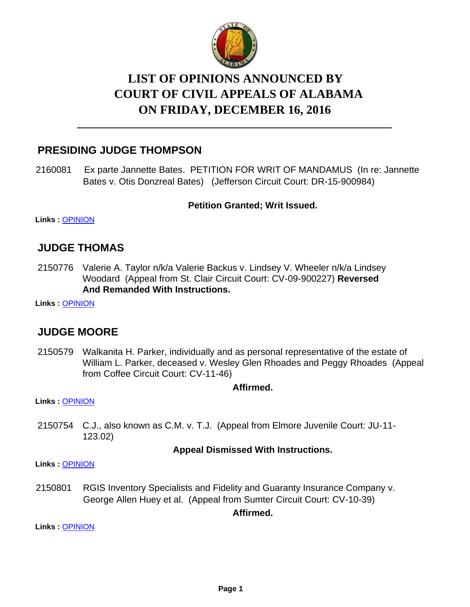

# **LIST OF OPINIONS ANNOUNCED BY COURT OF CIVIL APPEALS OF ALABAMA ON FRIDAY, DECEMBER 16, 2016**

## **PRESIDING JUDGE THOMPSON**

2160081 Ex parte Jannette Bates. PETITION FOR WRIT OF MANDAMUS (In re: Jannette Bates v. Otis Donzreal Bates) (Jefferson Circuit Court: DR-15-900984)

#### **Petition Granted; Writ Issued.**

**Links :** [OPINION](https://acis.alabama.gov/displaydocs.cfm?no=775916&event=4SV0K2ODJ)

#### **JUDGE THOMAS**

2150776 Valerie A. Taylor n/k/a Valerie Backus v. Lindsey V. Wheeler n/k/a Lindsey Woodard (Appeal from St. Clair Circuit Court: CV-09-900227) **Reversed And Remanded With Instructions.**

**Links :** [OPINION](https://acis.alabama.gov/displaydocs.cfm?no=775912&event=4SV0K2NKH)

## **JUDGE MOORE**

2150579 Walkanita H. Parker, individually and as personal representative of the estate of William L. Parker, deceased v. Wesley Glen Rhoades and Peggy Rhoades (Appeal from Coffee Circuit Court: CV-11-46)

**Affirmed.**

**Links :** [OPINION](https://acis.alabama.gov/displaydocs.cfm?no=775910&event=4SV0K2N3L)

2150754 C.J., also known as C.M. v. T.J. (Appeal from Elmore Juvenile Court: JU-11- 123.02)

#### **Appeal Dismissed With Instructions.**

**Links :** [OPINION](https://acis.alabama.gov/displaydocs.cfm?no=775911&event=4SV0K2NC8)

2150801 RGIS Inventory Specialists and Fidelity and Guaranty Insurance Company v. George Allen Huey et al. (Appeal from Sumter Circuit Court: CV-10-39)

**Affirmed.**

**Links :** [OPINION](https://acis.alabama.gov/displaydocs.cfm?no=775913&event=4SV0K2NQ3)